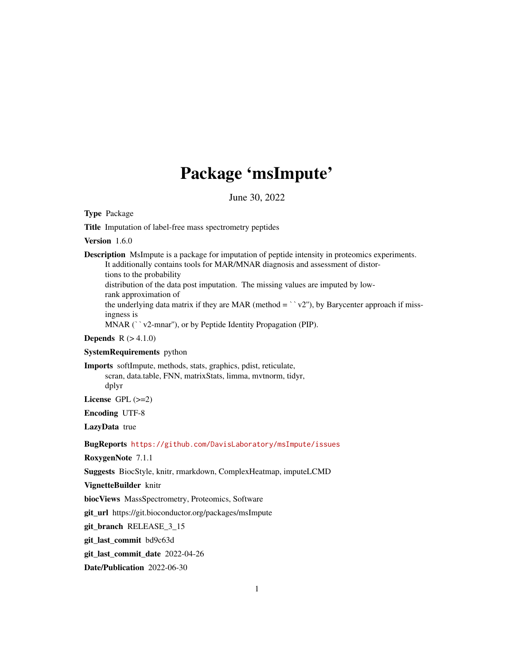# Package 'msImpute'

June 30, 2022

<span id="page-0-0"></span>Type Package

Title Imputation of label-free mass spectrometry peptides

Version 1.6.0

Description MsImpute is a package for imputation of peptide intensity in proteomics experiments. It additionally contains tools for MAR/MNAR diagnosis and assessment of distortions to the probability distribution of the data post imputation. The missing values are imputed by lowrank approximation of distribution of the data post imputation. The missing values are imputed by low-<br>rank approximation of<br>the underlying data matrix if they are MAR (method = ` v2''), by Barycenter approach if missingness is The underlying data matrix if they are MAR (method = ` `v2"), bingness is<br>MNAR (` `v2-mnar''), or by Peptide Identity Propagation (PIP).

**Depends**  $R (> 4.1.0)$ 

# SystemRequirements python

Imports softImpute, methods, stats, graphics, pdist, reticulate, scran, data.table, FNN, matrixStats, limma, mvtnorm, tidyr, dplyr

License GPL  $(>=2)$ 

Encoding UTF-8

LazyData true

BugReports <https://github.com/DavisLaboratory/msImpute/issues>

RoxygenNote 7.1.1

Suggests BiocStyle, knitr, rmarkdown, ComplexHeatmap, imputeLCMD

VignetteBuilder knitr

biocViews MassSpectrometry, Proteomics, Software

git\_url https://git.bioconductor.org/packages/msImpute

git\_branch RELEASE\_3\_15

git\_last\_commit bd9c63d

git\_last\_commit\_date 2022-04-26

Date/Publication 2022-06-30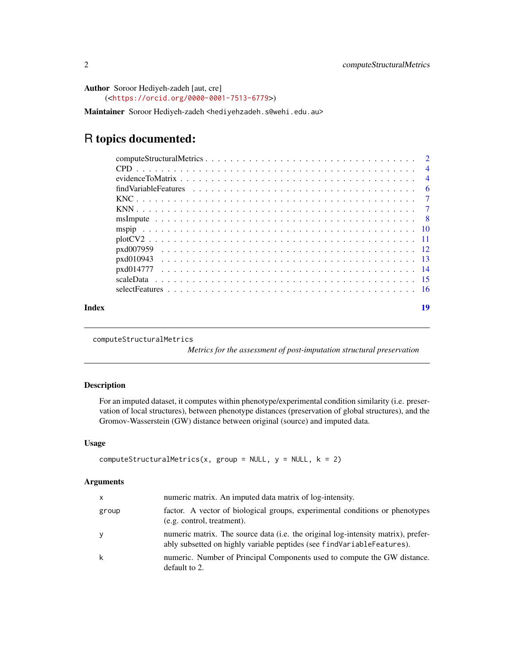<span id="page-1-0"></span>Author Soroor Hediyeh-zadeh [aut, cre] (<<https://orcid.org/0000-0001-7513-6779>>)

Maintainer Soroor Hediyeh-zadeh <hediyehzadeh.s@wehi.edu.au>

# R topics documented:

|  |  |  | $\overline{4}$ |
|--|--|--|----------------|
|  |  |  | - 6            |
|  |  |  |                |
|  |  |  |                |
|  |  |  |                |
|  |  |  |                |
|  |  |  |                |
|  |  |  |                |
|  |  |  |                |
|  |  |  |                |
|  |  |  |                |
|  |  |  |                |
|  |  |  | 19             |

```
computeStructuralMetrics
```
*Metrics for the assessment of post-imputation structural preservation*

# Description

For an imputed dataset, it computes within phenotype/experimental condition similarity (i.e. preservation of local structures), between phenotype distances (preservation of global structures), and the Gromov-Wasserstein (GW) distance between original (source) and imputed data.

# Usage

```
computeStructuralMetrics(x, group = NULL, y = NULL, k = 2)
```
# Arguments

| x     | numeric matrix. An imputed data matrix of log-intensity.                                                                                                    |
|-------|-------------------------------------------------------------------------------------------------------------------------------------------------------------|
| group | factor. A vector of biological groups, experimental conditions or phenotypes<br>(e.g. control, treatment).                                                  |
| У     | numeric matrix. The source data (i.e. the original log-intensity matrix), prefer-<br>ably subsetted on highly variable peptides (see findVariableFeatures). |
| k     | numeric. Number of Principal Components used to compute the GW distance.<br>default to 2.                                                                   |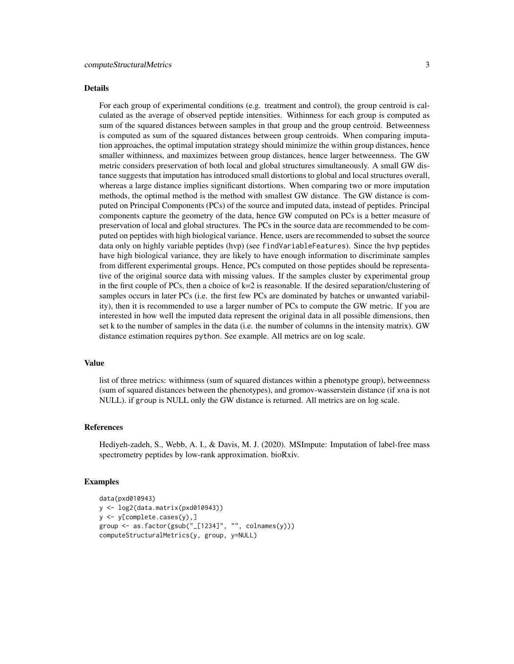#### Details

For each group of experimental conditions (e.g. treatment and control), the group centroid is calculated as the average of observed peptide intensities. Withinness for each group is computed as sum of the squared distances between samples in that group and the group centroid. Betweenness is computed as sum of the squared distances between group centroids. When comparing imputation approaches, the optimal imputation strategy should minimize the within group distances, hence smaller withinness, and maximizes between group distances, hence larger betweenness. The GW metric considers preservation of both local and global structures simultaneously. A small GW distance suggests that imputation has introduced small distortions to global and local structures overall, whereas a large distance implies significant distortions. When comparing two or more imputation methods, the optimal method is the method with smallest GW distance. The GW distance is computed on Principal Components (PCs) of the source and imputed data, instead of peptides. Principal components capture the geometry of the data, hence GW computed on PCs is a better measure of preservation of local and global structures. The PCs in the source data are recommended to be computed on peptides with high biological variance. Hence, users are recommended to subset the source data only on highly variable peptides (hvp) (see findVariableFeatures). Since the hvp peptides have high biological variance, they are likely to have enough information to discriminate samples from different experimental groups. Hence, PCs computed on those peptides should be representative of the original source data with missing values. If the samples cluster by experimental group in the first couple of PCs, then a choice of  $k=2$  is reasonable. If the desired separation/clustering of samples occurs in later PCs (i.e. the first few PCs are dominated by batches or unwanted variability), then it is recommended to use a larger number of PCs to compute the GW metric. If you are interested in how well the imputed data represent the original data in all possible dimensions, then set k to the number of samples in the data (i.e. the number of columns in the intensity matrix). GW distance estimation requires python. See example. All metrics are on log scale.

#### Value

list of three metrics: withinness (sum of squared distances within a phenotype group), betweenness (sum of squared distances between the phenotypes), and gromov-wasserstein distance (if xna is not NULL). if group is NULL only the GW distance is returned. All metrics are on log scale.

# References

Hediyeh-zadeh, S., Webb, A. I., & Davis, M. J. (2020). MSImpute: Imputation of label-free mass spectrometry peptides by low-rank approximation. bioRxiv.

#### Examples

```
data(pxd010943)
y <- log2(data.matrix(pxd010943))
y <- y[complete.cases(y),]
group <- as.factor(gsub("_[1234]", "", colnames(y)))
computeStructuralMetrics(y, group, y=NULL)
```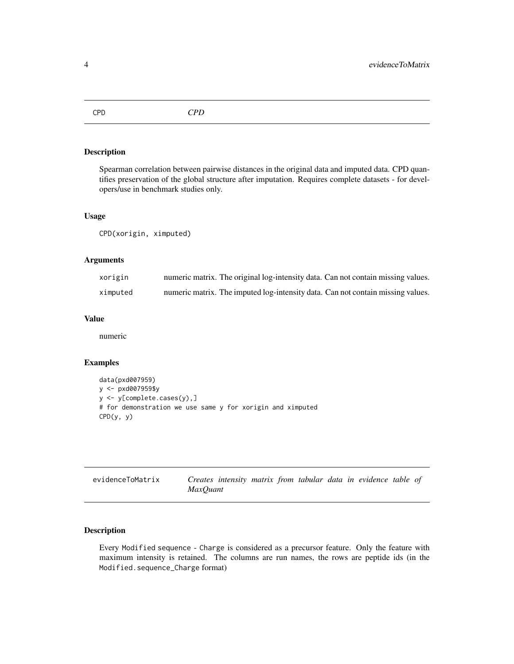<span id="page-3-0"></span>CPD *CPD*

# Description

Spearman correlation between pairwise distances in the original data and imputed data. CPD quantifies preservation of the global structure after imputation. Requires complete datasets - for developers/use in benchmark studies only.

# Usage

```
CPD(xorigin, ximputed)
```
# Arguments

| xorigin  | numeric matrix. The original log-intensity data. Can not contain missing values. |
|----------|----------------------------------------------------------------------------------|
| ximputed | numeric matrix. The imputed log-intensity data. Can not contain missing values.  |

# Value

numeric

#### Examples

```
data(pxd007959)
y <- pxd007959$y
y <- y[complete.cases(y),]
# for demonstration we use same y for xorigin and ximputed
CPD(y, y)
```

| evidenceToMatrix |          |  |  |  | Creates intensity matrix from tabular data in evidence table of |  |
|------------------|----------|--|--|--|-----------------------------------------------------------------|--|
|                  | MaxOuant |  |  |  |                                                                 |  |

# Description

Every Modified sequence - Charge is considered as a precursor feature. Only the feature with maximum intensity is retained. The columns are run names, the rows are peptide ids (in the Modified.sequence\_Charge format)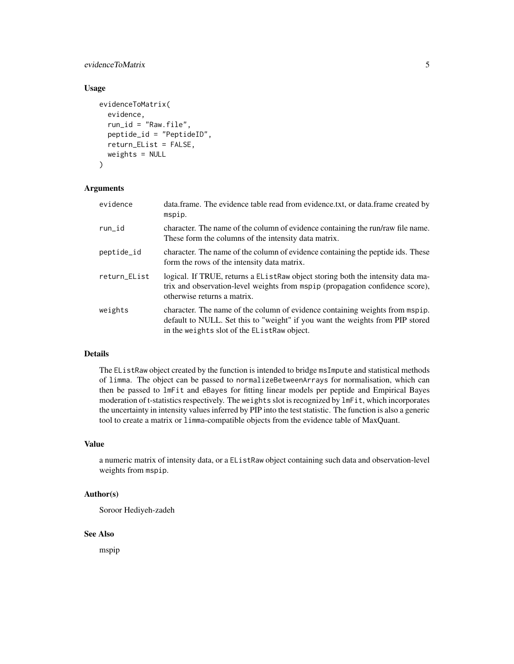# evidenceToMatrix 5

# Usage

```
evidenceToMatrix(
  evidence,
  run_id = "Raw.file",
  peptide_id = "PeptideID",
  return_EList = FALSE,
  weights = NULL
)
```
# Arguments

| evidence     | data.frame. The evidence table read from evidence.txt, or data.frame created by<br>mspip.                                                                                                                    |
|--------------|--------------------------------------------------------------------------------------------------------------------------------------------------------------------------------------------------------------|
| run_id       | character. The name of the column of evidence containing the run/raw file name.<br>These form the columns of the intensity data matrix.                                                                      |
| peptide_id   | character. The name of the column of evidence containing the peptide ids. These<br>form the rows of the intensity data matrix.                                                                               |
| return_EList | logical. If TRUE, returns a EListRaw object storing both the intensity data ma-<br>trix and observation-level weights from mspip (propagation confidence score),<br>otherwise returns a matrix.              |
| weights      | character. The name of the column of evidence containing weights from mspip.<br>default to NULL. Set this to "weight" if you want the weights from PIP stored<br>in the weights slot of the EListRaw object. |

#### Details

The EListRaw object created by the function is intended to bridge msImpute and statistical methods of limma. The object can be passed to normalizeBetweenArrays for normalisation, which can then be passed to lmFit and eBayes for fitting linear models per peptide and Empirical Bayes moderation of t-statistics respectively. The weights slot is recognized by lmFit, which incorporates the uncertainty in intensity values inferred by PIP into the test statistic. The function is also a generic tool to create a matrix or limma-compatible objects from the evidence table of MaxQuant.

# Value

a numeric matrix of intensity data, or a EListRaw object containing such data and observation-level weights from mspip.

# Author(s)

Soroor Hediyeh-zadeh

#### See Also

mspip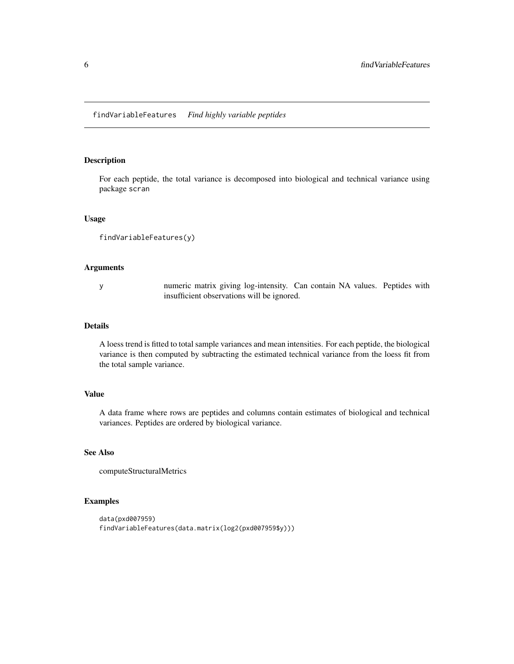# <span id="page-5-0"></span>Description

For each peptide, the total variance is decomposed into biological and technical variance using package scran

#### Usage

```
findVariableFeatures(y)
```
#### Arguments

y numeric matrix giving log-intensity. Can contain NA values. Peptides with insufficient observations will be ignored.

#### Details

A loess trend is fitted to total sample variances and mean intensities. For each peptide, the biological variance is then computed by subtracting the estimated technical variance from the loess fit from the total sample variance.

# Value

A data frame where rows are peptides and columns contain estimates of biological and technical variances. Peptides are ordered by biological variance.

# See Also

computeStructuralMetrics

# Examples

```
data(pxd007959)
findVariableFeatures(data.matrix(log2(pxd007959$y)))
```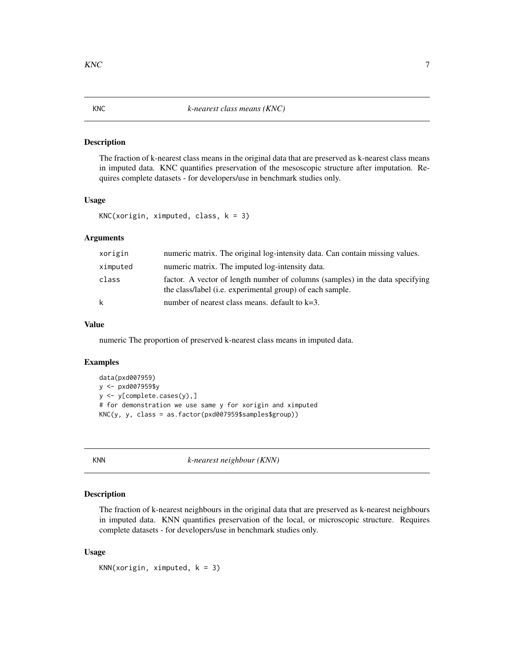# <span id="page-6-0"></span>Description

The fraction of k-nearest class means in the original data that are preserved as k-nearest class means in imputed data. KNC quantifies preservation of the mesoscopic structure after imputation. Requires complete datasets - for developers/use in benchmark studies only.

#### Usage

```
KNC(xorigin, ximputed, class, k = 3)
```
# Arguments

| xorigin  | numeric matrix. The original log-intensity data. Can contain missing values.                                                               |
|----------|--------------------------------------------------------------------------------------------------------------------------------------------|
| ximputed | numeric matrix. The imputed log-intensity data.                                                                                            |
| class    | factor. A vector of length number of columns (samples) in the data specifying<br>the class/label (i.e. experimental group) of each sample. |
| k        | number of nearest class means, default to $k=3$ .                                                                                          |

# Value

numeric The proportion of preserved k-nearest class means in imputed data.

#### Examples

```
data(pxd007959)
y <- pxd007959$y
y <- y[complete.cases(y),]
# for demonstration we use same y for xorigin and ximputed
KNC(y, y, class = as.factor(pxd007959$samples$group))
```
KNN *k-nearest neighbour (KNN)*

# Description

The fraction of k-nearest neighbours in the original data that are preserved as k-nearest neighbours in imputed data. KNN quantifies preservation of the local, or microscopic structure. Requires complete datasets - for developers/use in benchmark studies only.

```
KNN(xorigin, ximputed, k = 3)
```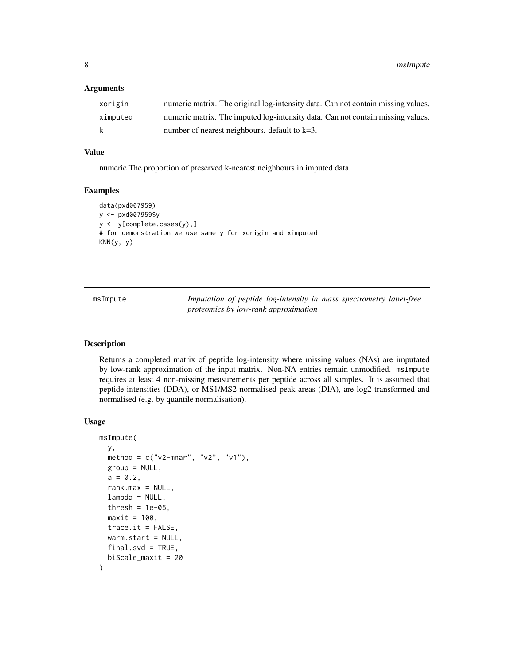### <span id="page-7-0"></span>**Arguments**

| xorigin  | numeric matrix. The original log-intensity data. Can not contain missing values. |
|----------|----------------------------------------------------------------------------------|
| ximputed | numeric matrix. The imputed log-intensity data. Can not contain missing values.  |
| k        | number of nearest neighbours, default to $k=3$ .                                 |

# Value

numeric The proportion of preserved k-nearest neighbours in imputed data.

#### Examples

```
data(pxd007959)
y <- pxd007959$y
y <- y[complete.cases(y),]
# for demonstration we use same y for xorigin and ximputed
KNN(y, y)
```
msImpute *Imputation of peptide log-intensity in mass spectrometry label-free proteomics by low-rank approximation*

# Description

Returns a completed matrix of peptide log-intensity where missing values (NAs) are imputated by low-rank approximation of the input matrix. Non-NA entries remain unmodified. msImpute requires at least 4 non-missing measurements per peptide across all samples. It is assumed that peptide intensities (DDA), or MS1/MS2 normalised peak areas (DIA), are log2-transformed and normalised (e.g. by quantile normalisation).

```
msImpute(
 y,
 method = c("v2-mnar", "v2", "v1"),
 group = NULL,
  a = 0.2,
  rank.max = NULL,lambda = NULL,thresh = 1e-05,
 maxit = 100,
  trace.it = FALSE,warm.start = NULL,
 final.svd = TRUE,biScale_maxit = 20
)
```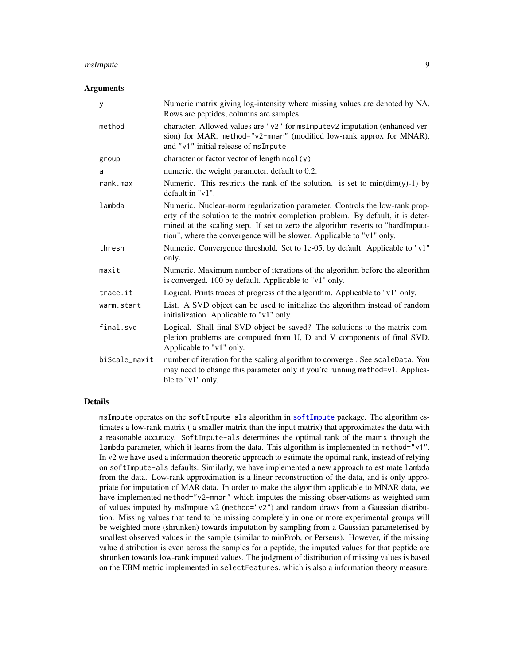#### <span id="page-8-0"></span>msImpute 99

#### Arguments

| У             | Numeric matrix giving log-intensity where missing values are denoted by NA.<br>Rows are peptides, columns are samples.                                                                                                                                                                                                     |
|---------------|----------------------------------------------------------------------------------------------------------------------------------------------------------------------------------------------------------------------------------------------------------------------------------------------------------------------------|
| method        | character. Allowed values are "v2" for msImputev2 imputation (enhanced ver-<br>sion) for MAR. method="v2-mnar" (modified low-rank approx for MNAR),<br>and "v1" initial release of msImpute                                                                                                                                |
| group         | character or factor vector of length $ncol(y)$                                                                                                                                                                                                                                                                             |
| a             | numeric. the weight parameter. default to 0.2.                                                                                                                                                                                                                                                                             |
| rank.max      | Numeric. This restricts the rank of the solution. is set to $min(dim(y)-1)$ by<br>default in "v1".                                                                                                                                                                                                                         |
| lambda        | Numeric. Nuclear-norm regularization parameter. Controls the low-rank prop-<br>erty of the solution to the matrix completion problem. By default, it is deter-<br>mined at the scaling step. If set to zero the algorithm reverts to "hardImputa-<br>tion", where the convergence will be slower. Applicable to "v1" only. |
| thresh        | Numeric. Convergence threshold. Set to 1e-05, by default. Applicable to "v1"<br>only.                                                                                                                                                                                                                                      |
| maxit         | Numeric. Maximum number of iterations of the algorithm before the algorithm<br>is converged. 100 by default. Applicable to "v1" only.                                                                                                                                                                                      |
| trace.it      | Logical. Prints traces of progress of the algorithm. Applicable to "v1" only.                                                                                                                                                                                                                                              |
| warm.start    | List. A SVD object can be used to initialize the algorithm instead of random<br>initialization. Applicable to "v1" only.                                                                                                                                                                                                   |
| final.svd     | Logical. Shall final SVD object be saved? The solutions to the matrix com-<br>pletion problems are computed from U, D and V components of final SVD.<br>Applicable to "v1" only.                                                                                                                                           |
| biScale_maxit | number of iteration for the scaling algorithm to converge. See scaleData. You<br>may need to change this parameter only if you're running method=v1. Applica-<br>ble to "v1" only.                                                                                                                                         |

# Details

msImpute operates on the softImpute-als algorithm in [softImpute](#page-0-0) package. The algorithm estimates a low-rank matrix ( a smaller matrix than the input matrix) that approximates the data with a reasonable accuracy. SoftImpute-als determines the optimal rank of the matrix through the lambda parameter, which it learns from the data. This algorithm is implemented in method="v1". In v2 we have used a information theoretic approach to estimate the optimal rank, instead of relying on softImpute-als defaults. Similarly, we have implemented a new approach to estimate lambda from the data. Low-rank approximation is a linear reconstruction of the data, and is only appropriate for imputation of MAR data. In order to make the algorithm applicable to MNAR data, we have implemented method="v2-mnar" which imputes the missing observations as weighted sum of values imputed by msImpute v2 (method="v2") and random draws from a Gaussian distribution. Missing values that tend to be missing completely in one or more experimental groups will be weighted more (shrunken) towards imputation by sampling from a Gaussian parameterised by smallest observed values in the sample (similar to minProb, or Perseus). However, if the missing value distribution is even across the samples for a peptide, the imputed values for that peptide are shrunken towards low-rank imputed values. The judgment of distribution of missing values is based on the EBM metric implemented in selectFeatures, which is also a information theory measure.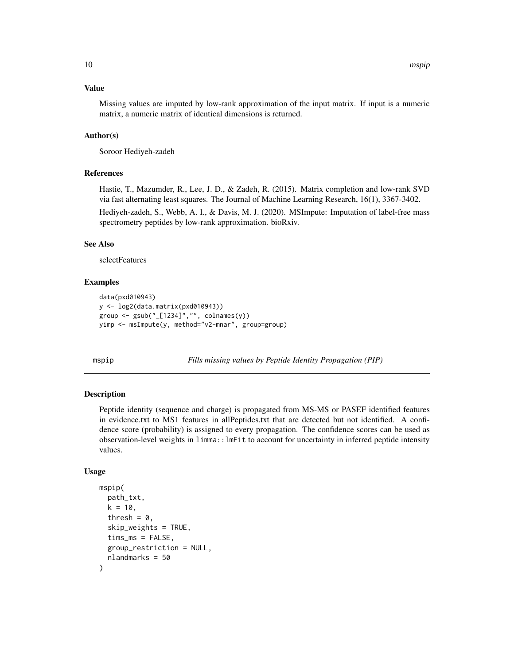# <span id="page-9-0"></span>Value

Missing values are imputed by low-rank approximation of the input matrix. If input is a numeric matrix, a numeric matrix of identical dimensions is returned.

# Author(s)

Soroor Hediyeh-zadeh

# References

Hastie, T., Mazumder, R., Lee, J. D., & Zadeh, R. (2015). Matrix completion and low-rank SVD via fast alternating least squares. The Journal of Machine Learning Research, 16(1), 3367-3402.

Hediyeh-zadeh, S., Webb, A. I., & Davis, M. J. (2020). MSImpute: Imputation of label-free mass spectrometry peptides by low-rank approximation. bioRxiv.

# See Also

selectFeatures

# Examples

```
data(pxd010943)
y <- log2(data.matrix(pxd010943))
group <- gsub("_[1234]","", colnames(y))
yimp <- msImpute(y, method="v2-mnar", group=group)
```
mspip *Fills missing values by Peptide Identity Propagation (PIP)*

# **Description**

Peptide identity (sequence and charge) is propagated from MS-MS or PASEF identified features in evidence.txt to MS1 features in allPeptides.txt that are detected but not identified. A confidence score (probability) is assigned to every propagation. The confidence scores can be used as observation-level weights in limma::lmFit to account for uncertainty in inferred peptide intensity values.

```
mspip(
  path_txt,
  k = 10,
  thresh = 0,
  skip_weights = TRUE,
  timsms = FALSE,group_restriction = NULL,
  nlandmarks = 50
)
```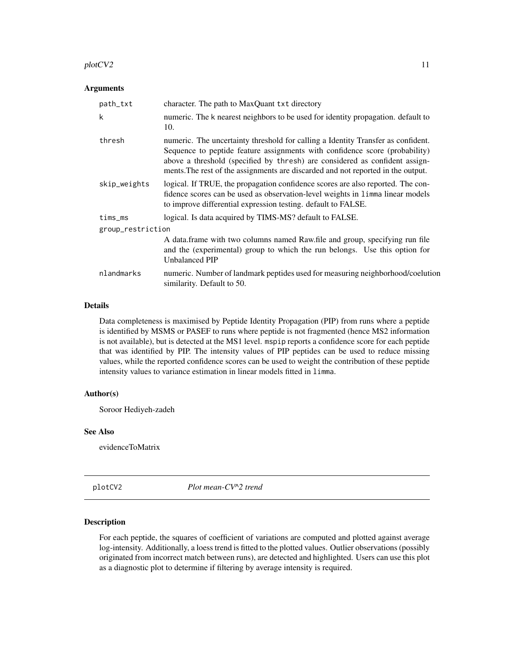#### <span id="page-10-0"></span>plotCV2 and the state of the state of the state of the state of the state of the state of the state of the state of the state of the state of the state of the state of the state of the state of the state of the state of th

#### Arguments

| path_txt          | character. The path to MaxQuant txt directory                                                                                                                                                                                                                                                                                      |
|-------------------|------------------------------------------------------------------------------------------------------------------------------------------------------------------------------------------------------------------------------------------------------------------------------------------------------------------------------------|
| k                 | numeric. The k nearest neighbors to be used for identity propagation, default to<br>10.                                                                                                                                                                                                                                            |
| thresh            | numeric. The uncertainty threshold for calling a Identity Transfer as confident.<br>Sequence to peptide feature assignments with confidence score (probability)<br>above a threshold (specified by thresh) are considered as confident assign-<br>ments. The rest of the assignments are discarded and not reported in the output. |
| skip_weights      | logical. If TRUE, the propagation confidence scores are also reported. The con-<br>fidence scores can be used as observation-level weights in limma linear models<br>to improve differential expression testing. default to FALSE.                                                                                                 |
| $tims_m s$        | logical. Is data acquired by TIMS-MS? default to FALSE.                                                                                                                                                                                                                                                                            |
| group_restriction |                                                                                                                                                                                                                                                                                                                                    |
|                   | A data.frame with two columns named Raw.file and group, specifying run file<br>and the (experimental) group to which the run belongs. Use this option for<br>Unbalanced PIP                                                                                                                                                        |
| nlandmarks        | numeric. Number of landmark peptides used for measuring neighborhood/coelution<br>similarity. Default to 50.                                                                                                                                                                                                                       |

# Details

Data completeness is maximised by Peptide Identity Propagation (PIP) from runs where a peptide is identified by MSMS or PASEF to runs where peptide is not fragmented (hence MS2 information is not available), but is detected at the MS1 level. mspip reports a confidence score for each peptide that was identified by PIP. The intensity values of PIP peptides can be used to reduce missing values, while the reported confidence scores can be used to weight the contribution of these peptide intensity values to variance estimation in linear models fitted in limma.

# Author(s)

Soroor Hediyeh-zadeh

#### See Also

evidenceToMatrix

plotCV2 *Plot mean-CV^2 trend*

#### Description

For each peptide, the squares of coefficient of variations are computed and plotted against average log-intensity. Additionally, a loess trend is fitted to the plotted values. Outlier observations (possibly originated from incorrect match between runs), are detected and highlighted. Users can use this plot as a diagnostic plot to determine if filtering by average intensity is required.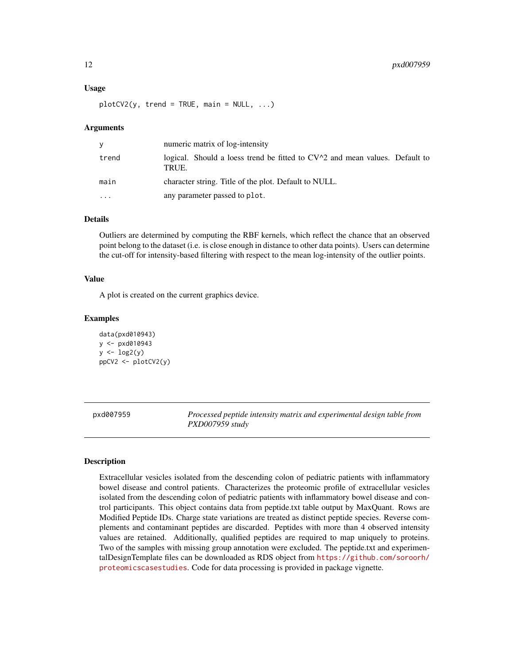#### <span id="page-11-0"></span>Usage

 $plotCV2(y, trend = TRUE, main = NULL, ...)$ 

#### Arguments

| y         | numeric matrix of log-intensity                                                        |
|-----------|----------------------------------------------------------------------------------------|
| trend     | logical. Should a loess trend be fitted to $CV^2$ and mean values. Default to<br>TRUE. |
| main      | character string. Title of the plot. Default to NULL.                                  |
| $\ddotsc$ | any parameter passed to plot.                                                          |

# Details

Outliers are determined by computing the RBF kernels, which reflect the chance that an observed point belong to the dataset (i.e. is close enough in distance to other data points). Users can determine the cut-off for intensity-based filtering with respect to the mean log-intensity of the outlier points.

#### Value

A plot is created on the current graphics device.

#### Examples

```
data(pxd010943)
v < -pxd010943y \leftarrow \log 2(y)ppCV2 <- plotCV2(y)
```
pxd007959 *Processed peptide intensity matrix and experimental design table from PXD007959 study*

# Description

Extracellular vesicles isolated from the descending colon of pediatric patients with inflammatory bowel disease and control patients. Characterizes the proteomic profile of extracellular vesicles isolated from the descending colon of pediatric patients with inflammatory bowel disease and control participants. This object contains data from peptide.txt table output by MaxQuant. Rows are Modified Peptide IDs. Charge state variations are treated as distinct peptide species. Reverse complements and contaminant peptides are discarded. Peptides with more than 4 observed intensity values are retained. Additionally, qualified peptides are required to map uniquely to proteins. Two of the samples with missing group annotation were excluded. The peptide.txt and experimentalDesignTemplate files can be downloaded as RDS object from [https://github.com/soroorh/](https://github.com/soroorh/proteomicscasestudies) [proteomicscasestudies](https://github.com/soroorh/proteomicscasestudies). Code for data processing is provided in package vignette.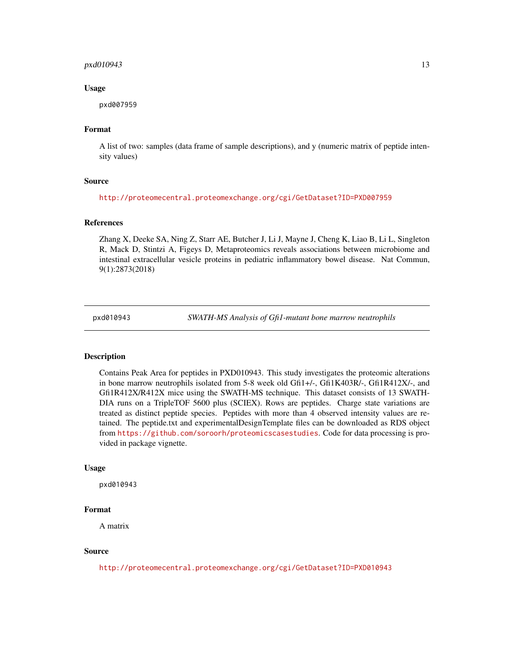#### <span id="page-12-0"></span>pxd010943 13

#### Usage

pxd007959

# Format

A list of two: samples (data frame of sample descriptions), and y (numeric matrix of peptide intensity values)

#### Source

<http://proteomecentral.proteomexchange.org/cgi/GetDataset?ID=PXD007959>

#### References

Zhang X, Deeke SA, Ning Z, Starr AE, Butcher J, Li J, Mayne J, Cheng K, Liao B, Li L, Singleton R, Mack D, Stintzi A, Figeys D, Metaproteomics reveals associations between microbiome and intestinal extracellular vesicle proteins in pediatric inflammatory bowel disease. Nat Commun, 9(1):2873(2018)

pxd010943 *SWATH-MS Analysis of Gfi1-mutant bone marrow neutrophils*

#### **Description**

Contains Peak Area for peptides in PXD010943. This study investigates the proteomic alterations in bone marrow neutrophils isolated from 5-8 week old Gfi1+/-, Gfi1K403R/-, Gfi1R412X/-, and Gfi1R412X/R412X mice using the SWATH-MS technique. This dataset consists of 13 SWATH-DIA runs on a TripleTOF 5600 plus (SCIEX). Rows are peptides. Charge state variations are treated as distinct peptide species. Peptides with more than 4 observed intensity values are retained. The peptide.txt and experimentalDesignTemplate files can be downloaded as RDS object from <https://github.com/soroorh/proteomicscasestudies>. Code for data processing is provided in package vignette.

#### Usage

pxd010943

#### Format

A matrix

# Source

<http://proteomecentral.proteomexchange.org/cgi/GetDataset?ID=PXD010943>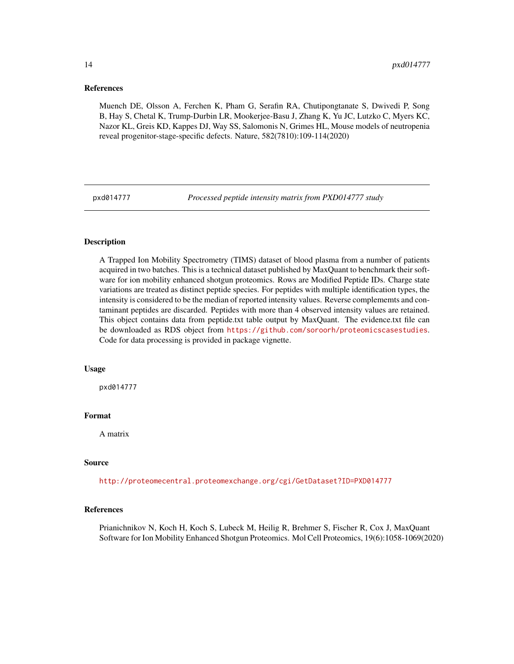#### <span id="page-13-0"></span>References

Muench DE, Olsson A, Ferchen K, Pham G, Serafin RA, Chutipongtanate S, Dwivedi P, Song B, Hay S, Chetal K, Trump-Durbin LR, Mookerjee-Basu J, Zhang K, Yu JC, Lutzko C, Myers KC, Nazor KL, Greis KD, Kappes DJ, Way SS, Salomonis N, Grimes HL, Mouse models of neutropenia reveal progenitor-stage-specific defects. Nature, 582(7810):109-114(2020)

pxd014777 *Processed peptide intensity matrix from PXD014777 study*

# Description

A Trapped Ion Mobility Spectrometry (TIMS) dataset of blood plasma from a number of patients acquired in two batches. This is a technical dataset published by MaxQuant to benchmark their software for ion mobility enhanced shotgun proteomics. Rows are Modified Peptide IDs. Charge state variations are treated as distinct peptide species. For peptides with multiple identification types, the intensity is considered to be the median of reported intensity values. Reverse complememts and contaminant peptides are discarded. Peptides with more than 4 observed intensity values are retained. This object contains data from peptide.txt table output by MaxQuant. The evidence.txt file can be downloaded as RDS object from <https://github.com/soroorh/proteomicscasestudies>. Code for data processing is provided in package vignette.

### Usage

pxd014777

#### Format

A matrix

#### Source

<http://proteomecentral.proteomexchange.org/cgi/GetDataset?ID=PXD014777>

#### References

Prianichnikov N, Koch H, Koch S, Lubeck M, Heilig R, Brehmer S, Fischer R, Cox J, MaxQuant Software for Ion Mobility Enhanced Shotgun Proteomics. Mol Cell Proteomics, 19(6):1058-1069(2020)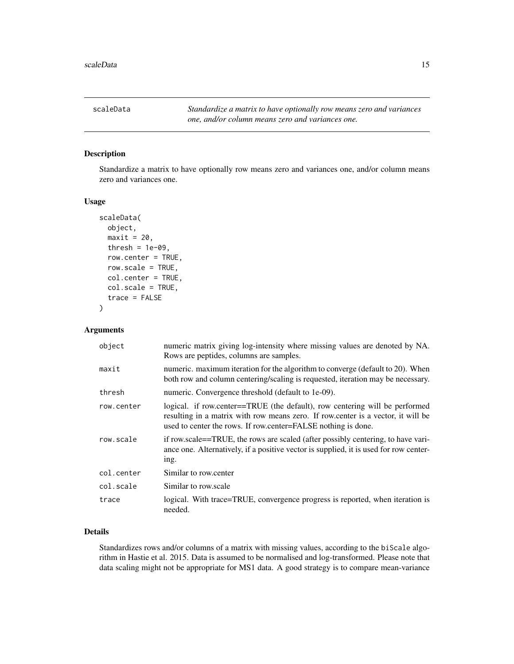<span id="page-14-0"></span>scaleData *Standardize a matrix to have optionally row means zero and variances one, and/or column means zero and variances one.*

# Description

Standardize a matrix to have optionally row means zero and variances one, and/or column means zero and variances one.

### Usage

```
scaleData(
  object,
 maxit = 20,
  thresh = 1e-09,
  row.center = TRUE,
  row.scale = TRUE,
  col.center = TRUE,
  col.scale = TRUE,
  trace = FALSE
)
```
# Arguments

| object     | numeric matrix giving log-intensity where missing values are denoted by NA.<br>Rows are peptides, columns are samples.                                                                                                           |
|------------|----------------------------------------------------------------------------------------------------------------------------------------------------------------------------------------------------------------------------------|
| maxit      | numeric. maximum iteration for the algorithm to converge (default to 20). When<br>both row and column centering/scaling is requested, iteration may be necessary.                                                                |
| thresh     | numeric. Convergence threshold (default to 1e-09).                                                                                                                                                                               |
| row.center | logical. if row.center==TRUE (the default), row centering will be performed<br>resulting in a matrix with row means zero. If row center is a vector, it will be<br>used to center the rows. If row center=FALSE nothing is done. |
| row.scale  | if row.scale==TRUE, the rows are scaled (after possibly centering, to have vari-<br>ance one. Alternatively, if a positive vector is supplied, it is used for row center-<br>ing.                                                |
| col.center | Similar to row.center                                                                                                                                                                                                            |
| col.scale  | Similar to row scale                                                                                                                                                                                                             |
| trace      | logical. With trace=TRUE, convergence progress is reported, when iteration is<br>needed.                                                                                                                                         |

# Details

Standardizes rows and/or columns of a matrix with missing values, according to the biScale algorithm in Hastie et al. 2015. Data is assumed to be normalised and log-transformed. Please note that data scaling might not be appropriate for MS1 data. A good strategy is to compare mean-variance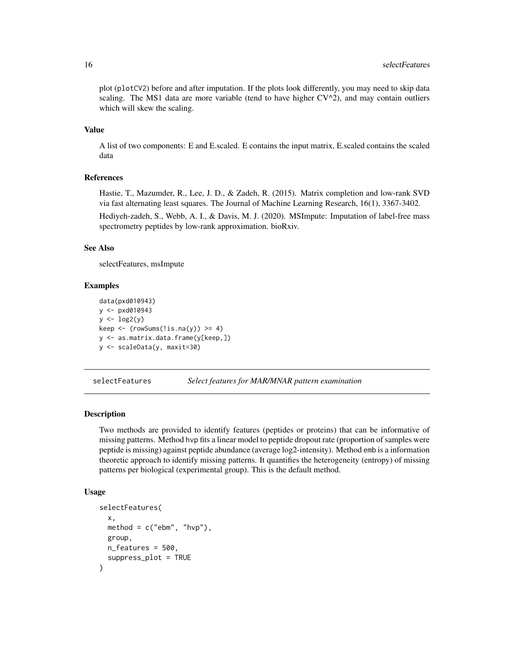plot (plotCV2) before and after imputation. If the plots look differently, you may need to skip data scaling. The MS1 data are more variable (tend to have higher  $CV^2$ ), and may contain outliers which will skew the scaling.

# Value

A list of two components: E and E.scaled. E contains the input matrix, E.scaled contains the scaled data

## References

Hastie, T., Mazumder, R., Lee, J. D., & Zadeh, R. (2015). Matrix completion and low-rank SVD via fast alternating least squares. The Journal of Machine Learning Research, 16(1), 3367-3402. Hediyeh-zadeh, S., Webb, A. I., & Davis, M. J. (2020). MSImpute: Imputation of label-free mass spectrometry peptides by low-rank approximation. bioRxiv.

#### See Also

selectFeatures, msImpute

#### Examples

```
data(pxd010943)
y < -pxd010943y \leftarrow \log 2(y)keep \leftarrow (rowSums(!is.na(y)) >= 4)
y <- as.matrix.data.frame(y[keep,])
y <- scaleData(y, maxit=30)
```
selectFeatures *Select features for MAR/MNAR pattern examination*

# Description

Two methods are provided to identify features (peptides or proteins) that can be informative of missing patterns. Method hvp fits a linear model to peptide dropout rate (proportion of samples were peptide is missing) against peptide abundance (average log2-intensity). Method emb is a information theoretic approach to identify missing patterns. It quantifies the heterogeneity (entropy) of missing patterns per biological (experimental group). This is the default method.

```
selectFeatures(
  x,
 method = c("ebm", "hvp"),group,
 n_features = 500,
  suppress_plot = TRUE
)
```
<span id="page-15-0"></span>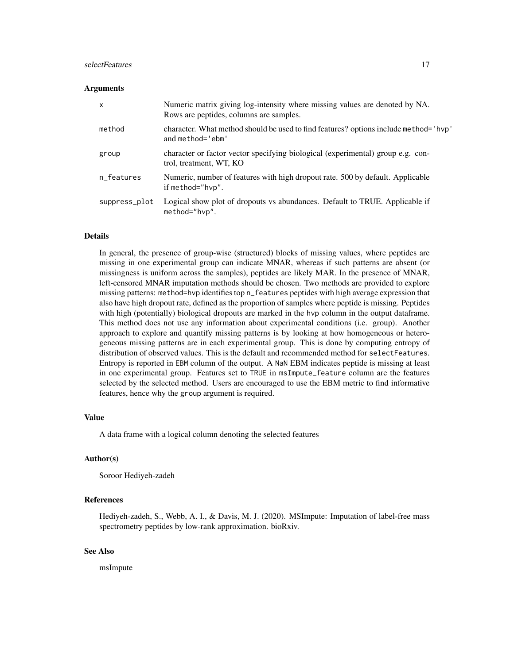# selectFeatures 17

#### **Arguments**

| X             | Numeric matrix giving log-intensity where missing values are denoted by NA.<br>Rows are peptides, columns are samples. |
|---------------|------------------------------------------------------------------------------------------------------------------------|
| method        | character. What method should be used to find features? options include method='hvp'<br>and method='ebm'               |
| group         | character or factor vector specifying biological (experimental) group e.g. con-<br>trol, treatment, WT, KO             |
| n_features    | Numeric, number of features with high dropout rate. 500 by default. Applicable<br>if method="hvp".                     |
| suppress_plot | Logical show plot of dropouts vs abundances. Default to TRUE. Applicable if<br>method="hvp".                           |

# Details

In general, the presence of group-wise (structured) blocks of missing values, where peptides are missing in one experimental group can indicate MNAR, whereas if such patterns are absent (or missingness is uniform across the samples), peptides are likely MAR. In the presence of MNAR, left-censored MNAR imputation methods should be chosen. Two methods are provided to explore missing patterns: method=hvp identifies top n\_features peptides with high average expression that also have high dropout rate, defined as the proportion of samples where peptide is missing. Peptides with high (potentially) biological dropouts are marked in the hvp column in the output dataframe. This method does not use any information about experimental conditions (i.e. group). Another approach to explore and quantify missing patterns is by looking at how homogeneous or heterogeneous missing patterns are in each experimental group. This is done by computing entropy of distribution of observed values. This is the default and recommended method for selectFeatures. Entropy is reported in EBM column of the output. A NaN EBM indicates peptide is missing at least in one experimental group. Features set to TRUE in msImpute\_feature column are the features selected by the selected method. Users are encouraged to use the EBM metric to find informative features, hence why the group argument is required.

#### Value

A data frame with a logical column denoting the selected features

#### Author(s)

Soroor Hediyeh-zadeh

# References

Hediyeh-zadeh, S., Webb, A. I., & Davis, M. J. (2020). MSImpute: Imputation of label-free mass spectrometry peptides by low-rank approximation. bioRxiv.

# See Also

msImpute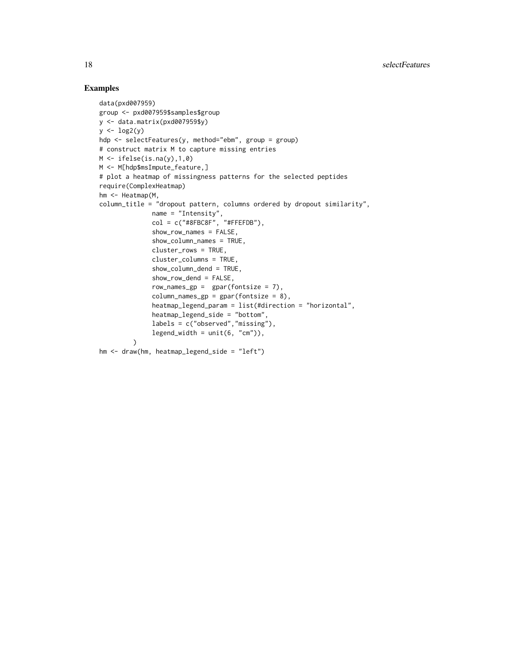# Examples

```
data(pxd007959)
group <- pxd007959$samples$group
y <- data.matrix(pxd007959$y)
y \leftarrow \log 2(y)hdp <- selectFeatures(y, method="ebm", group = group)
# construct matrix M to capture missing entries
M \leftarrow ifelse(is.na(y),1,0)
M <- M[hdp$msImpute_feature,]
# plot a heatmap of missingness patterns for the selected peptides
require(ComplexHeatmap)
hm <- Heatmap(M,
column_title = "dropout pattern, columns ordered by dropout similarity",
              name = "Intensity",
              col = c("H8FBC8F", "HFEFDB"),show_row_names = FALSE,
              show_column_names = TRUE,
              cluster_rows = TRUE,
              cluster_columns = TRUE,
              show_column_dend = TRUE,
              show_row_dend = FALSE,
              row_names_gp = gpar(fontsize = 7),
              column\_names\_gp = gpar(fontsize = 8),
              heatmap_legend_param = list(#direction = "horizontal",
              heatmap_legend_side = "bottom",
              labels = c("observed","missing"),
              legend\_width = unit(6, "cm"),
         )
hm <- draw(hm, heatmap_legend_side = "left")
```